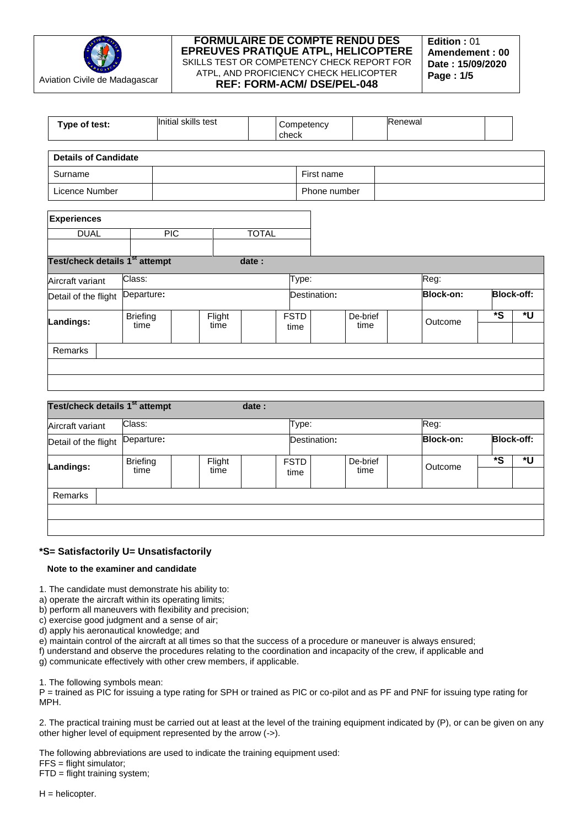

| Type of test:                              |                         | Initial skills test |                |              | check               | Competency   |                  | Renewal |                  |                         |                   |
|--------------------------------------------|-------------------------|---------------------|----------------|--------------|---------------------|--------------|------------------|---------|------------------|-------------------------|-------------------|
| <b>Details of Candidate</b>                |                         |                     |                |              |                     |              |                  |         |                  |                         |                   |
| Surname                                    |                         |                     |                |              |                     | First name   |                  |         |                  |                         |                   |
| Licence Number<br>Phone number             |                         |                     |                |              |                     |              |                  |         |                  |                         |                   |
| <b>Experiences</b>                         |                         |                     |                |              |                     |              |                  |         |                  |                         |                   |
| <b>DUAL</b>                                |                         | <b>PIC</b>          |                | <b>TOTAL</b> |                     |              |                  |         |                  |                         |                   |
| Test/check details 1 <sup>st</sup> attempt |                         |                     |                | date:        |                     |              |                  |         |                  |                         |                   |
| Aircraft variant                           | Class:                  |                     |                |              | Type:               |              |                  |         | Reg:             |                         |                   |
| Detail of the flight                       | Departure:              |                     |                |              |                     | Destination: |                  |         | <b>Block-on:</b> |                         | <b>Block-off:</b> |
| Landings:                                  | <b>Briefing</b><br>time |                     | Flight<br>time |              | <b>FSTD</b><br>time |              | De-brief<br>time |         | Outcome          | $\overline{\mathbf{s}}$ | *U                |
| Remarks                                    |                         |                     |                |              |                     |              |                  |         |                  |                         |                   |
|                                            |                         |                     |                |              |                     |              |                  |         |                  |                         |                   |
|                                            |                         |                     |                |              |                     |              |                  |         |                  |                         |                   |

| Test/check details 1 <sup>st</sup> attempt |                         | date:          |                     |                                  |         |    |    |  |  |  |
|--------------------------------------------|-------------------------|----------------|---------------------|----------------------------------|---------|----|----|--|--|--|
| Class:<br>Type:<br>Aircraft variant        |                         |                |                     |                                  | Reg:    |    |    |  |  |  |
| Departure:<br>Detail of the flight         |                         |                |                     | <b>Block-on:</b><br>Destination: |         |    |    |  |  |  |
| Landings:                                  | <b>Briefing</b><br>time | Flight<br>time | <b>FSTD</b><br>time | De-brief<br>time                 | Outcome | *S | *U |  |  |  |
| Remarks                                    |                         |                |                     |                                  |         |    |    |  |  |  |

# **\*S= Satisfactorily U= Unsatisfactorily**

## **Note to the examiner and candidate**

1. The candidate must demonstrate his ability to:

a) operate the aircraft within its operating limits;

b) perform all maneuvers with flexibility and precision;

c) exercise good judgment and a sense of air;

d) apply his aeronautical knowledge; and

e) maintain control of the aircraft at all times so that the success of a procedure or maneuver is always ensured;

f) understand and observe the procedures relating to the coordination and incapacity of the crew, if applicable and

g) communicate effectively with other crew members, if applicable.

1. The following symbols mean:

P = trained as PIC for issuing a type rating for SPH or trained as PIC or co-pilot and as PF and PNF for issuing type rating for MPH.

2. The practical training must be carried out at least at the level of the training equipment indicated by (P), or can be given on any other higher level of equipment represented by the arrow (->).

The following abbreviations are used to indicate the training equipment used:

FFS = flight simulator;

FTD = flight training system;

 $H =$  helicopter.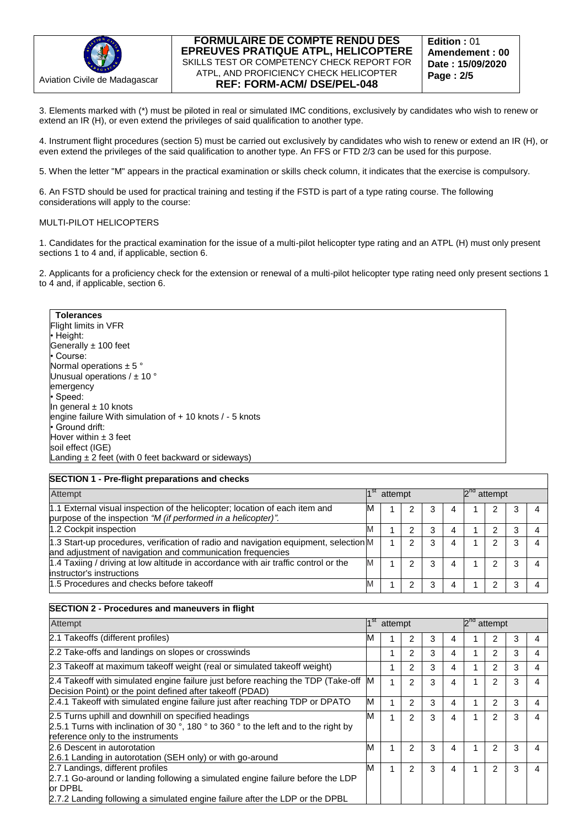

3. Elements marked with (\*) must be piloted in real or simulated IMC conditions, exclusively by candidates who wish to renew or extend an IR (H), or even extend the privileges of said qualification to another type.

4. Instrument flight procedures (section 5) must be carried out exclusively by candidates who wish to renew or extend an IR (H), or even extend the privileges of the said qualification to another type. An FFS or FTD 2/3 can be used for this purpose.

5. When the letter "M" appears in the practical examination or skills check column, it indicates that the exercise is compulsory.

6. An FSTD should be used for practical training and testing if the FSTD is part of a type rating course. The following considerations will apply to the course:

#### MULTI-PILOT HELICOPTERS

1. Candidates for the practical examination for the issue of a multi-pilot helicopter type rating and an ATPL (H) must only present sections 1 to 4 and, if applicable, section 6.

2. Applicants for a proficiency check for the extension or renewal of a multi-pilot helicopter type rating need only present sections 1 to 4 and, if applicable, section 6.

**Tolerances** Flight limits in VFR • Height: Generally  $± 100$  feet • Course: Normal operations  $\pm$  5  $^{\circ}$ Unusual operations  $/$   $\pm$  10  $^{\circ}$ emergency • Speed: In general  $\pm$  10 knots engine failure With simulation of + 10 knots / - 5 knots • Ground drift: Hover within  $\pm$  3 feet soil effect (IGE) Landing  $\pm 2$  feet (with 0 feet backward or sideways)

### **SECTION 1 - Pre-flight preparations and checks**

| Attempt                                                                                                                                            |   |  | attempt |   |   | attempt |   |  |
|----------------------------------------------------------------------------------------------------------------------------------------------------|---|--|---------|---|---|---------|---|--|
| 1.1 External visual inspection of the helicopter; location of each item and<br>purpose of the inspection "M (if performed in a helicopter)".       | M |  | 2       | 3 | 4 | 2       |   |  |
| 1.2 Cockpit inspection                                                                                                                             | M |  |         | 3 |   |         | 3 |  |
| 1.3 Start-up procedures, verification of radio and navigation equipment, selection M<br>and adjustment of navigation and communication frequencies |   |  | っ       | 3 |   | າ       | 3 |  |
| 1.4 Taxiing / driving at low altitude in accordance with air traffic control or the<br>instructor's instructions                                   | M |  | 2       | 3 | 4 | 2       | 3 |  |
| 1.5 Procedures and checks before takeoff                                                                                                           | M |  |         |   |   |         |   |  |

### **SECTION 2 - Procedures and maneuvers in flight**

| Attempt                                                                                                                                                                                                       |    |   | 1 <sup>st</sup><br>attempt |   |   |  |   | $2^{na}$<br>attempt |  |  |  |  |
|---------------------------------------------------------------------------------------------------------------------------------------------------------------------------------------------------------------|----|---|----------------------------|---|---|--|---|---------------------|--|--|--|--|
| 2.1 Takeoffs (different profiles)                                                                                                                                                                             | IМ |   | $\overline{2}$             | 3 | 4 |  | 2 | 3                   |  |  |  |  |
| 2.2 Take-offs and landings on slopes or crosswinds                                                                                                                                                            |    |   | 2                          | 3 | 4 |  | 2 | 3                   |  |  |  |  |
| 2.3 Takeoff at maximum takeoff weight (real or simulated takeoff weight)                                                                                                                                      |    |   | 2                          | 3 | 4 |  | 2 | 3                   |  |  |  |  |
| 2.4 Takeoff with simulated engine failure just before reaching the TDP (Take-off<br>Decision Point) or the point defined after takeoff (PDAD)                                                                 | M  | 4 | $\overline{2}$             | 3 | 4 |  | 2 | 3                   |  |  |  |  |
| 2.4.1 Takeoff with simulated engine failure just after reaching TDP or DPATO                                                                                                                                  | M  |   | 2                          | 3 | 4 |  | 2 | 3                   |  |  |  |  |
| 2.5 Turns uphill and downhill on specified headings<br>2.5.1 Turns with inclination of 30 °, 180 ° to 360 ° to the left and to the right by<br>reference only to the instruments                              | м  | 1 | $\overline{2}$             | 3 | 4 |  | 2 | 3                   |  |  |  |  |
| 2.6 Descent in autorotation<br>2.6.1 Landing in autorotation (SEH only) or with go-around                                                                                                                     | M  | 1 | $\overline{2}$             | 3 | 4 |  | 2 | 3                   |  |  |  |  |
| 2.7 Landings, different profiles<br>2.7.1 Go-around or landing following a simulated engine failure before the LDP<br>or DPBL<br>2.7.2 Landing following a simulated engine failure after the LDP or the DPBL | м  | 1 | $\overline{2}$             | 3 | 4 |  | 2 | 3                   |  |  |  |  |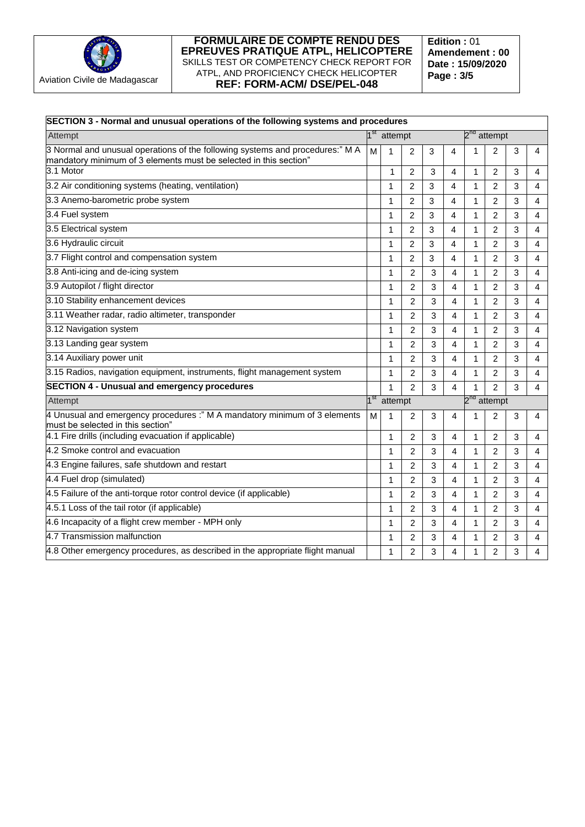

**Edition :** 01 **Amendement : 00 Date : 15/09/2020 Page : 3/5**

| SECTION 3 - Normal and unusual operations of the following systems and procedures                                                                  |                 |         |                                             |   |                         |                         |                |   |   |  |
|----------------------------------------------------------------------------------------------------------------------------------------------------|-----------------|---------|---------------------------------------------|---|-------------------------|-------------------------|----------------|---|---|--|
| Attempt                                                                                                                                            |                 |         | 1 <sup>st</sup> attempt<br>$2^{nd}$ attempt |   |                         |                         |                |   |   |  |
| 3 Normal and unusual operations of the following systems and procedures:" M A<br>mandatory minimum of 3 elements must be selected in this section" | M               | 1       | $\overline{2}$                              | 3 | 4                       | 1                       | $\overline{2}$ | 3 | 4 |  |
| 3.1 Motor                                                                                                                                          |                 | 1       | $\overline{c}$                              | 3 | 4                       | 1                       | 2              | 3 | 4 |  |
| 3.2 Air conditioning systems (heating, ventilation)                                                                                                |                 | 1       | 2                                           | 3 | 4                       | 1                       | $\overline{2}$ | 3 | 4 |  |
| 3.3 Anemo-barometric probe system                                                                                                                  |                 | 1       | $\overline{c}$                              | 3 | 4                       | $\mathbf{1}$            | $\overline{2}$ | 3 | 4 |  |
| 3.4 Fuel system                                                                                                                                    |                 | 1       | $\overline{2}$                              | 3 | 4                       | 1                       | $\overline{2}$ | 3 | 4 |  |
| 3.5 Electrical system                                                                                                                              |                 | 1       | $\overline{c}$                              | 3 | 4                       | $\mathbf{1}$            | $\overline{2}$ | 3 | 4 |  |
| 3.6 Hydraulic circuit                                                                                                                              |                 | 1       | $\overline{2}$                              | 3 | 4                       | 1                       | $\overline{2}$ | 3 | 4 |  |
| 3.7 Flight control and compensation system                                                                                                         |                 | 1       | 2                                           | 3 | 4                       | $\mathbf{1}$            | 2              | 3 | 4 |  |
| 3.8 Anti-icing and de-icing system                                                                                                                 |                 | 1       | $\overline{2}$                              | 3 | 4                       | $\mathbf{1}$            | $\overline{2}$ | 3 | 4 |  |
| 3.9 Autopilot / flight director                                                                                                                    |                 | 1       | 2                                           | 3 | 4                       | 1                       | $\overline{2}$ | 3 | 4 |  |
| 3.10 Stability enhancement devices                                                                                                                 |                 | 1       | 2                                           | 3 | 4                       | $\mathbf{1}$            | $\overline{2}$ | 3 | 4 |  |
| 3.11 Weather radar, radio altimeter, transponder                                                                                                   |                 | 1       | $\overline{c}$                              | 3 | 4                       | $\mathbf{1}$            | $\overline{2}$ | 3 | 4 |  |
| 3.12 Navigation system                                                                                                                             |                 | 1       | 2                                           | 3 | 4                       | 1                       | 2              | 3 | 4 |  |
| 3.13 Landing gear system                                                                                                                           |                 | 1       | $\overline{2}$                              | 3 | 4                       | $\mathbf{1}$            | $\overline{2}$ | 3 | 4 |  |
| 3.14 Auxiliary power unit                                                                                                                          |                 | 1       | 2                                           | 3 | 4                       | 1                       | $\overline{2}$ | 3 | 4 |  |
| 3.15 Radios, navigation equipment, instruments, flight management system                                                                           |                 | 1       | $\overline{c}$                              | 3 | 4                       | $\mathbf{1}$            | $\overline{2}$ | 3 | 4 |  |
| <b>SECTION 4 - Unusual and emergency procedures</b>                                                                                                |                 | 1       | 2                                           | 3 | 4                       | 1                       | $\overline{2}$ | 3 | 4 |  |
| Attempt                                                                                                                                            | 1 <sup>st</sup> | attempt |                                             |   |                         | 2 <sup>nd</sup> attempt |                |   |   |  |
| 4 Unusual and emergency procedures :" M A mandatory minimum of 3 elements<br>must be selected in this section"                                     | м               | 1       | 2                                           | 3 | 4                       | 1                       | 2              | 3 | 4 |  |
| 4.1 Fire drills (including evacuation if applicable)                                                                                               |                 | 1       | $\overline{c}$                              | 3 | 4                       | 1                       | 2              | 3 | 4 |  |
| 4.2 Smoke control and evacuation                                                                                                                   |                 | 1       | 2                                           | 3 | 4                       | $\mathbf{1}$            | $\overline{2}$ | 3 | 4 |  |
| 4.3 Engine failures, safe shutdown and restart                                                                                                     |                 | 1       | 2                                           | 3 | 4                       | 1                       | $\overline{2}$ | 3 | 4 |  |
| 4.4 Fuel drop (simulated)                                                                                                                          |                 | 1       | $\overline{c}$                              | 3 | 4                       | 1                       | $\overline{2}$ | 3 | 4 |  |
| 4.5 Failure of the anti-torque rotor control device (if applicable)                                                                                |                 | 1       | $\overline{c}$                              | 3 | $\overline{\mathbf{4}}$ | $\mathbf{1}$            | $\overline{2}$ | 3 | 4 |  |
| 4.5.1 Loss of the tail rotor (if applicable)                                                                                                       |                 | 1       | 2                                           | 3 | 4                       | $\mathbf{1}$            | $\overline{2}$ | 3 | 4 |  |
| 4.6 Incapacity of a flight crew member - MPH only                                                                                                  |                 | 1       | $\overline{c}$                              | 3 | 4                       | $\mathbf{1}$            | $\overline{2}$ | 3 | 4 |  |
| 4.7 Transmission malfunction                                                                                                                       |                 | 1       | 2                                           | 3 | 4                       | 1                       | 2              | 3 | 4 |  |
| 4.8 Other emergency procedures, as described in the appropriate flight manual                                                                      |                 | 1       | 2                                           | 3 | 4                       | 1                       | $\overline{2}$ | 3 | 4 |  |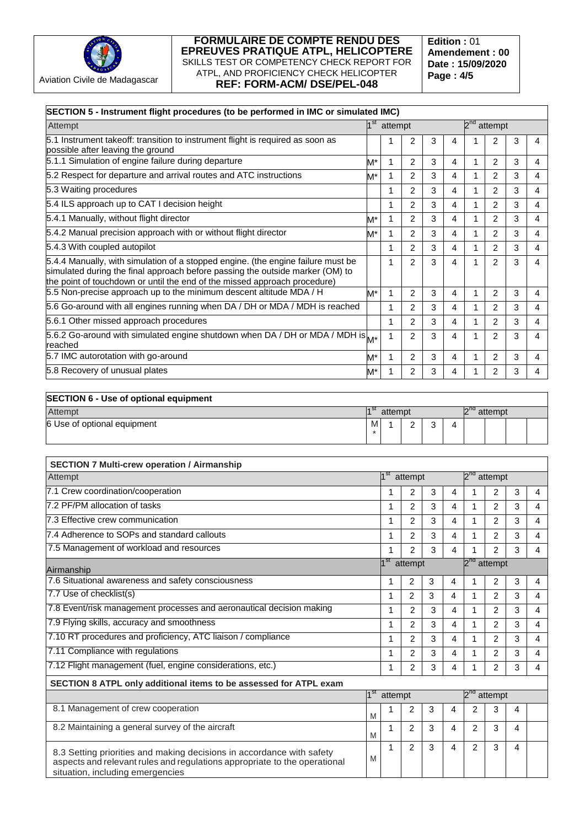

**Edition :** 01 **Amendement : 00 Date : 15/09/2020 Page : 4/5**

| SECTION 5 - Instrument flight procedures (to be performed in IMC or simulated IMC)                                                                                                                                                             |                                                    |                 |                         |   |                         |                         |                         |   |                |  |
|------------------------------------------------------------------------------------------------------------------------------------------------------------------------------------------------------------------------------------------------|----------------------------------------------------|-----------------|-------------------------|---|-------------------------|-------------------------|-------------------------|---|----------------|--|
| Attempt                                                                                                                                                                                                                                        | $1^{\rm st}$<br>2 <sup>nd</sup> attempt<br>attempt |                 |                         |   |                         |                         |                         |   |                |  |
| 5.1 Instrument takeoff: transition to instrument flight is required as soon as<br>possible after leaving the ground                                                                                                                            |                                                    | 1               | 2                       | 3 | 4                       | 1                       | 2                       | 3 | 4              |  |
| 5.1.1 Simulation of engine failure during departure                                                                                                                                                                                            | M*                                                 | 1               | $\overline{c}$          | 3 | 4                       | 1                       | 2                       | 3 | 4              |  |
| 5.2 Respect for departure and arrival routes and ATC instructions                                                                                                                                                                              | M*                                                 | 1               | 2                       | 3 | 4                       | 1                       | 2                       | 3 | 4              |  |
| 5.3 Waiting procedures                                                                                                                                                                                                                         |                                                    | 1               | $\overline{c}$          | 3 | 4                       | 1                       | $\overline{2}$          | 3 | 4              |  |
| 5.4 ILS approach up to CAT I decision height                                                                                                                                                                                                   |                                                    | 1               | $\overline{c}$          | 3 | 4                       | 1                       | 2                       | 3 | 4              |  |
| 5.4.1 Manually, without flight director                                                                                                                                                                                                        | M*                                                 | 1               | $\overline{2}$          | 3 | 4                       | 1                       | $\overline{2}$          | 3 | 4              |  |
| 5.4.2 Manual precision approach with or without flight director                                                                                                                                                                                | M*                                                 | 1               | $\overline{c}$          | 3 | 4                       | 1                       | 2                       | 3 | $\overline{4}$ |  |
| 5.4.3 With coupled autopilot                                                                                                                                                                                                                   |                                                    | 1               | $\overline{2}$          | 3 | 4                       | 1                       | 2                       | 3 | 4              |  |
| 5.4.4 Manually, with simulation of a stopped engine. (the engine failure must be<br>simulated during the final approach before passing the outside marker (OM) to<br>the point of touchdown or until the end of the missed approach procedure) |                                                    | 1               | $\overline{2}$          | 3 | $\overline{\mathbf{4}}$ | $\mathbf{1}$            | $\overline{2}$          | 3 | 4              |  |
| 5.5 Non-precise approach up to the minimum descent altitude MDA / H                                                                                                                                                                            | M*                                                 | 1               | $\overline{c}$          | 3 | 4                       | 1                       | 2                       | 3 | 4              |  |
| 5.6 Go-around with all engines running when DA / DH or MDA / MDH is reached                                                                                                                                                                    |                                                    | 1               | 2                       | 3 | 4                       | 1                       | 2                       | 3 | 4              |  |
| 5.6.1 Other missed approach procedures                                                                                                                                                                                                         |                                                    | 1               | $\overline{c}$          | 3 | 4                       | 1                       | 2                       | 3 | 4              |  |
| 5.6.2 Go-around with simulated engine shutdown when DA / DH or MDA / MDH is $_{\mathsf{M}^{\star}}$<br>reached                                                                                                                                 |                                                    | 1               | $\overline{2}$          | 3 | 4                       | 1                       | 2                       | 3 | 4              |  |
| 5.7 IMC autorotation with go-around                                                                                                                                                                                                            | M*                                                 | 1               | $\overline{2}$          | 3 | 4                       | 1                       | 2                       | 3 | $\overline{4}$ |  |
| 5.8 Recovery of unusual plates                                                                                                                                                                                                                 | M*                                                 | 1               | $\overline{2}$          | 3 | 4                       | 1                       | 2                       | 3 | 4              |  |
| <b>SECTION 6 - Use of optional equipment</b>                                                                                                                                                                                                   |                                                    |                 |                         |   |                         |                         |                         |   |                |  |
| Attempt                                                                                                                                                                                                                                        | 1 <sup>st</sup>                                    | attempt         |                         |   |                         |                         | 2 <sup>nd</sup> attempt |   |                |  |
| 6 Use of optional equipment                                                                                                                                                                                                                    | M                                                  | 1               | 2                       | 3 | 4                       |                         |                         |   |                |  |
|                                                                                                                                                                                                                                                |                                                    |                 |                         |   |                         |                         |                         |   |                |  |
|                                                                                                                                                                                                                                                |                                                    |                 |                         |   |                         |                         |                         |   |                |  |
| <b>SECTION 7 Multi-crew operation / Airmanship</b>                                                                                                                                                                                             |                                                    |                 |                         |   |                         |                         |                         |   |                |  |
| Attempt                                                                                                                                                                                                                                        |                                                    | 1 <sup>st</sup> | attempt                 |   |                         | 2 <sup>nd</sup> attempt |                         |   |                |  |
| 7.1 Crew coordination/cooperation                                                                                                                                                                                                              |                                                    | 1               | 2                       | 3 | 4                       | 1                       | 2                       | 3 | 4              |  |
| 7.2 PF/PM allocation of tasks                                                                                                                                                                                                                  |                                                    | 1               | 2                       | 3 | 4                       | 1                       | 2                       | 3 | 4              |  |
| 7.3 Effective crew communication                                                                                                                                                                                                               |                                                    | 1               | 2                       | 3 | 4                       | 1                       | 2                       | 3 | $\overline{4}$ |  |
| 7.4 Adherence to SOPs and standard callouts                                                                                                                                                                                                    |                                                    | 1               | 2                       | 3 | 4                       | 1                       | $\overline{2}$          | 3 | 4              |  |
| 7.5 Management of workload and resources                                                                                                                                                                                                       |                                                    | 1               | 2                       | 3 | $\overline{4}$          | $\overline{c}$<br>1     |                         |   | 4              |  |
| Airmanship                                                                                                                                                                                                                                     |                                                    |                 | 1 <sup>st</sup> attempt |   | $2^{nd}$ attempt        |                         |                         |   |                |  |
| 7.6 Situational awareness and safety consciousness                                                                                                                                                                                             |                                                    | 1               | 2                       | 3 | 4                       | 1                       | 2                       | 3 | 4              |  |
| 7.7 Use of checklist(s)                                                                                                                                                                                                                        |                                                    | 1               | $\overline{2}$          | 3 | $\overline{4}$          | 1                       | $\overline{2}$          | 3 | 4              |  |
| 7.8 Event/risk management processes and aeronautical decision making                                                                                                                                                                           |                                                    | 1               | 2                       | 3 | 4                       | 1                       | 2                       | 3 | 4              |  |
| 7.9 Flying skills, accuracy and smoothness                                                                                                                                                                                                     |                                                    | 1               | $\overline{c}$          | 3 | 4                       | 1                       | $\overline{2}$          | 3 | $\overline{4}$ |  |
| 7.10 RT procedures and proficiency, ATC liaison / compliance                                                                                                                                                                                   |                                                    | 1               | $\overline{c}$          | 3 | $\overline{4}$          | $\mathbf{1}$            | $\overline{2}$          | 3 | 4              |  |
| 7.11 Compliance with regulations                                                                                                                                                                                                               |                                                    |                 |                         | 3 | 4                       | 1                       | 2                       | 3 | 4              |  |
| 7.12 Flight management (fuel, engine considerations, etc.)                                                                                                                                                                                     |                                                    |                 |                         | 3 | 4                       | $\mathbf{1}$            | $\overline{2}$          | 3 | $\overline{4}$ |  |
|                                                                                                                                                                                                                                                |                                                    | 1               | $\overline{2}$          |   |                         |                         |                         |   |                |  |
| SECTION 8 ATPL only additional items to be assessed for ATPL exam                                                                                                                                                                              | $1^{\rm st}$                                       | attempt         |                         |   |                         | $2^{nd}$ attempt        |                         |   |                |  |
| 8.1 Management of crew cooperation                                                                                                                                                                                                             |                                                    | 1               | 2                       | 3 | 4                       | 2                       | 3                       | 4 |                |  |
|                                                                                                                                                                                                                                                | M                                                  |                 |                         |   |                         |                         |                         |   |                |  |
| 8.2 Maintaining a general survey of the aircraft                                                                                                                                                                                               | M                                                  | 1               | 2                       | 3 | 4                       | 2                       | 3                       | 4 |                |  |
| 8.3 Setting priorities and making decisions in accordance with safety<br>aspects and relevant rules and regulations appropriate to the operational<br>situation, including emergencies                                                         | M                                                  | 1               | 2                       | 3 | 4                       | 2                       | 3                       | 4 |                |  |